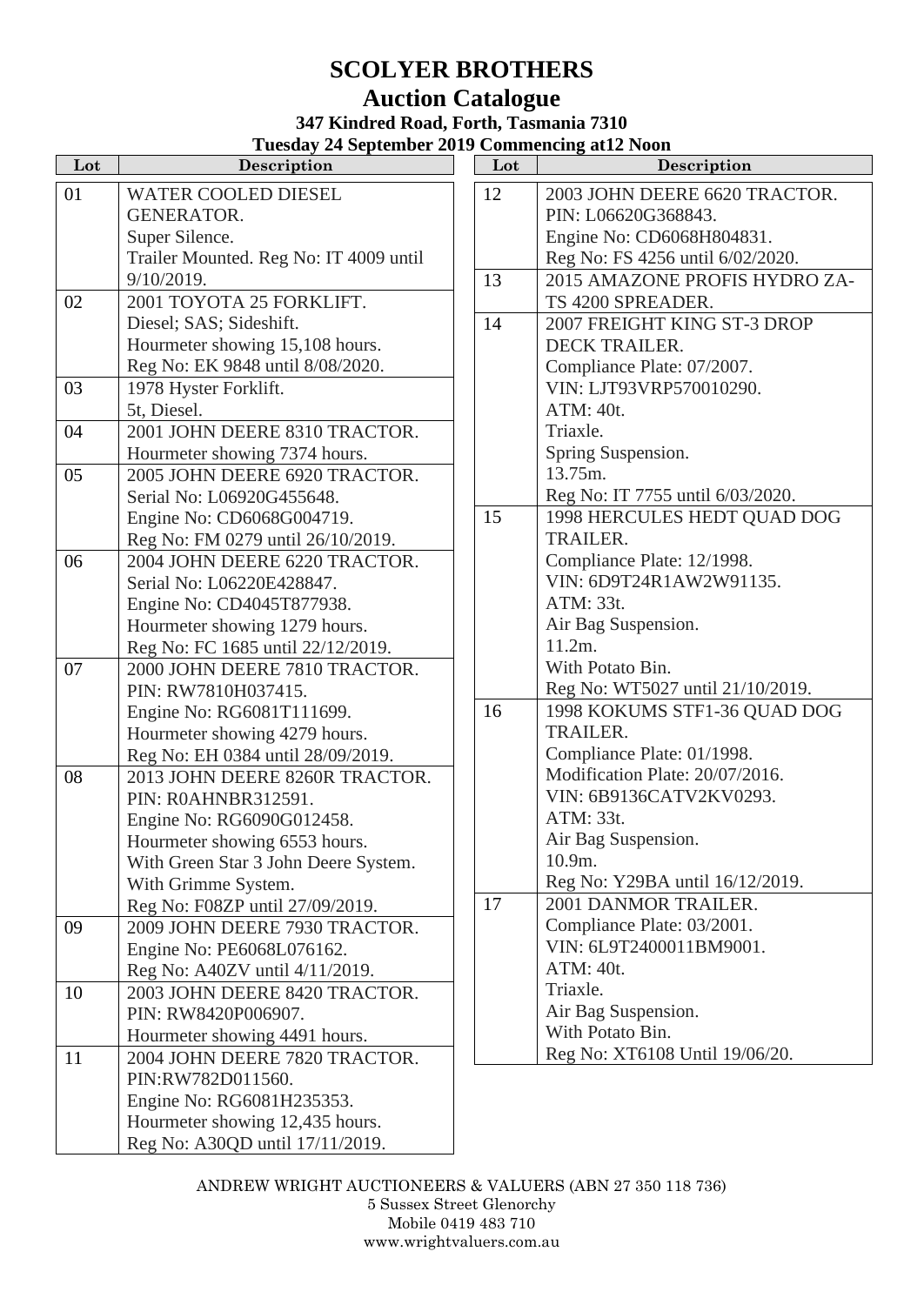## **SCOLYER BROTHERS Auction Catalogue**

## **347 Kindred Road, Forth, Tasmania 7310 Tuesday 24 September 2019 Commencing at12 Noon**

| Lot | Description                            | Lot | Description                 |
|-----|----------------------------------------|-----|-----------------------------|
| 01  | <b>WATER COOLED DIESEL</b>             | 12  | 2003 JOHN DEERE 6620        |
|     | <b>GENERATOR.</b>                      |     | PIN: L06620G368843.         |
|     | Super Silence.                         |     | Engine No: CD6068H8048      |
|     | Trailer Mounted. Reg No: IT 4009 until |     | Reg No: FS 4256 until 6/02  |
|     | $9/10/2019$ .                          | 13  | 2015 AMAZONE PROFIS         |
| 02  | 2001 TOYOTA 25 FORKLIFT.               |     | TS 4200 SPREADER.           |
|     | Diesel; SAS; Sideshift.                | 14  | 2007 FREIGHT KING ST-       |
|     | Hourmeter showing 15,108 hours.        |     | DECK TRAILER.               |
|     | Reg No: EK 9848 until 8/08/2020.       |     | Compliance Plate: 07/2007.  |
| 03  | 1978 Hyster Forklift.                  |     | VIN: LJT93VRP57001029       |
|     | 5t, Diesel.                            |     | ATM: 40t.                   |
| 04  | 2001 JOHN DEERE 8310 TRACTOR.          |     | Triaxle.                    |
|     | Hourmeter showing 7374 hours.          |     | Spring Suspension.          |
| 05  | 2005 JOHN DEERE 6920 TRACTOR.          |     | 13.75m.                     |
|     | Serial No: L06920G455648.              |     | Reg No: IT 7755 until 6/03  |
|     | Engine No: CD6068G004719.              | 15  | 1998 HERCULES HEDT Q        |
|     | Reg No: FM 0279 until 26/10/2019.      |     | <b>TRAILER.</b>             |
| 06  | 2004 JOHN DEERE 6220 TRACTOR.          |     | Compliance Plate: 12/1998.  |
|     | Serial No: L06220E428847.              |     | VIN: 6D9T24R1AW2W91         |
|     | Engine No: CD4045T877938.              |     | ATM: 33t.                   |
|     | Hourmeter showing 1279 hours.          |     | Air Bag Suspension.         |
|     | Reg No: FC 1685 until 22/12/2019.      |     | 11.2m.                      |
| 07  | 2000 JOHN DEERE 7810 TRACTOR.          |     | With Potato Bin.            |
|     | PIN: RW7810H037415.                    |     | Reg No: WT5027 until 21/1   |
|     | Engine No: RG6081T111699.              | 16  | 1998 KOKUMS STF1-36 (       |
|     | Hourmeter showing 4279 hours.          |     | <b>TRAILER.</b>             |
|     | Reg No: EH 0384 until 28/09/2019.      |     | Compliance Plate: 01/1998.  |
| 08  | 2013 JOHN DEERE 8260R TRACTOR.         |     | Modification Plate: 20/07/2 |
|     | PIN: ROAHNBR312591.                    |     | VIN: 6B9136CATV2KV02        |
|     | Engine No: RG6090G012458.              |     | ATM: 33t.                   |
|     | Hourmeter showing 6553 hours.          |     | Air Bag Suspension.         |
|     | With Green Star 3 John Deere System.   |     | 10.9m.                      |
|     | With Grimme System.                    |     | Reg No: Y29BA until 16/12   |
|     | Reg No: F08ZP until 27/09/2019.        | 17  | 2001 DANMOR TRAILER         |
| 09  | 2009 JOHN DEERE 7930 TRACTOR.          |     | Compliance Plate: 03/2001.  |
|     | Engine No: PE6068L076162.              |     | VIN: 6L9T2400011BM900       |
|     | Reg No: A40ZV until 4/11/2019.         |     | ATM: 40t.                   |
| 10  | 2003 JOHN DEERE 8420 TRACTOR.          |     | Triaxle.                    |
|     | PIN: RW8420P006907.                    |     | Air Bag Suspension.         |
|     | Hourmeter showing 4491 hours.          |     | With Potato Bin.            |
| 11  | 2004 JOHN DEERE 7820 TRACTOR.          |     | Reg No: XT6108 Until 19/0   |
|     | PIN:RW782D011560.                      |     |                             |
|     | Engine No: RG6081H235353.              |     |                             |
|     | Hourmeter showing 12,435 hours.        |     |                             |
|     | Reg No: A30QD until 17/11/2019.        |     |                             |

| Lot | Commencing at 12 Noon<br>Description |
|-----|--------------------------------------|
|     |                                      |
| 12  | 2003 JOHN DEERE 6620 TRACTOR.        |
|     | PIN: L06620G368843.                  |
|     | Engine No: CD6068H804831.            |
|     | Reg No: FS 4256 until 6/02/2020.     |
| 13  | 2015 AMAZONE PROFIS HYDRO ZA-        |
|     | TS 4200 SPREADER.                    |
| 14  | 2007 FREIGHT KING ST-3 DROP          |
|     | <b>DECK TRAILER.</b>                 |
|     | Compliance Plate: 07/2007.           |
|     | VIN: LJT93VRP570010290.              |
|     | ATM: 40t.                            |
|     | Triaxle.                             |
|     | Spring Suspension.                   |
|     | 13.75m.                              |
|     | Reg No: IT 7755 until 6/03/2020.     |
| 15  | 1998 HERCULES HEDT QUAD DOG          |
|     | <b>TRAILER.</b>                      |
|     | Compliance Plate: 12/1998.           |
|     | VIN: 6D9T24R1AW2W91135.              |
|     | ATM: 33t.                            |
|     | Air Bag Suspension.                  |
|     | 11.2m.                               |
|     | With Potato Bin.                     |
|     | Reg No: WT5027 until 21/10/2019.     |
| 16  | 1998 KOKUMS STF1-36 QUAD DOG         |
|     | <b>TRAILER.</b>                      |
|     | Compliance Plate: 01/1998.           |
|     | Modification Plate: 20/07/2016.      |
|     | VIN: 6B9136CATV2KV0293.              |
|     | ATM: 33t.                            |
|     | Air Bag Suspension.                  |
|     | 10.9m.                               |
|     | Reg No: Y29BA until 16/12/2019.      |
| 17  | 2001 DANMOR TRAILER.                 |
|     | Compliance Plate: 03/2001.           |
|     | VIN: 6L9T2400011BM9001.              |
|     | ATM: 40t.                            |
|     | Triaxle.                             |
|     | Air Bag Suspension.                  |
|     | With Potato Bin.                     |
|     | Reg No: XT6108 Until 19/06/20.       |
|     |                                      |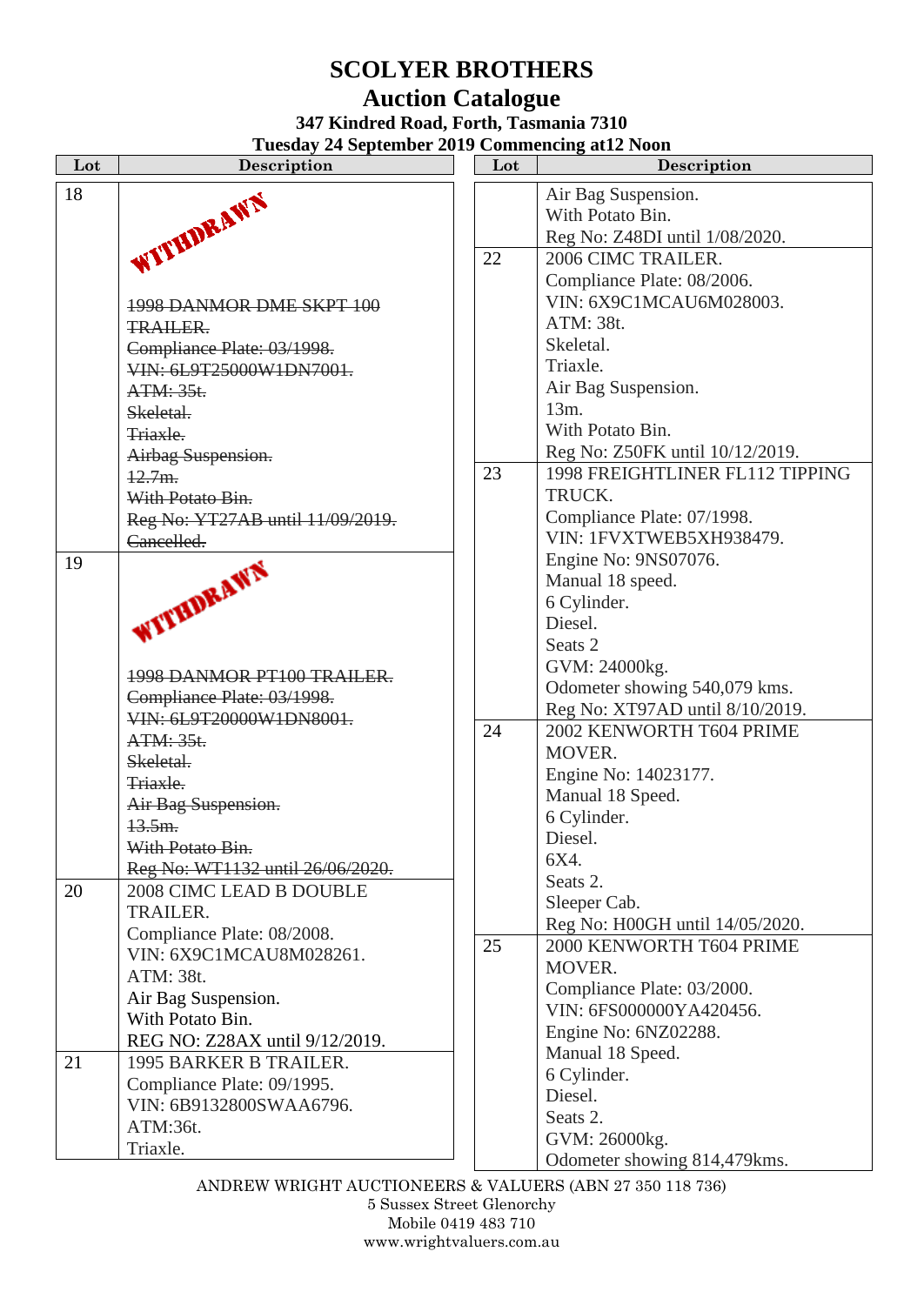# **SCOLYER BROTHERS**

### **Auction Catalogue 347 Kindred Road, Forth, Tasmania 7310**

**Tuesday 24 September 2019 Commencing at12 Noon**

| Lot | Description                      | Lot | Description                     |
|-----|----------------------------------|-----|---------------------------------|
| 18  | WITHDRAWN                        |     | Air Bag Suspension.             |
|     |                                  |     | With Potato Bin.                |
|     |                                  |     | Reg No: Z48DI until 1/08/2020.  |
|     |                                  | 22  | 2006 CIMC TRAILER.              |
|     |                                  |     | Compliance Plate: 08/2006.      |
|     | 1998 DANMOR DME SKPT 100         |     | VIN: 6X9C1MCAU6M028003.         |
|     | <b>TRAILER.</b>                  |     | ATM: 38t.                       |
|     | Compliance Plate: 03/1998.       |     | Skeletal.                       |
|     | VIN: 6L9T25000W1DN7001.          |     | Triaxle.                        |
|     | ATM: 35t.                        |     | Air Bag Suspension.             |
|     | Skeletal.                        |     | 13m.                            |
|     | Triaxle.                         |     | With Potato Bin.                |
|     | Airbag Suspension.               |     | Reg No: Z50FK until 10/12/2019. |
|     | 12.7m.                           | 23  | 1998 FREIGHTLINER FL112 TIPPING |
|     | With Potato Bin.                 |     | TRUCK.                          |
|     | Reg No: YT27AB until 11/09/2019. |     | Compliance Plate: 07/1998.      |
|     | Cancelled.                       |     | VIN: 1FVXTWEB5XH938479.         |
| 19  |                                  |     | Engine No: 9NS07076.            |
|     |                                  |     | Manual 18 speed.                |
|     |                                  |     | 6 Cylinder.                     |
|     | WITHDRAWN                        |     | Diesel.                         |
|     |                                  |     | Seats <sub>2</sub>              |
|     | 1998 DANMOR PT100 TRAILER.       |     | GVM: 24000kg.                   |
|     | Compliance Plate: 03/1998.       |     | Odometer showing 540,079 kms.   |
|     | VIN: 6L9T20000W1DN8001.          |     | Reg No: XT97AD until 8/10/2019. |
|     | ATM: 35t.                        | 24  | 2002 KENWORTH T604 PRIME        |
|     | Skeletal.                        |     | MOVER.                          |
|     | Triaxle.                         |     | Engine No: 14023177.            |
|     | Air Bag Suspension.              |     | Manual 18 Speed.                |
|     | 13.5m.                           |     | 6 Cylinder.                     |
|     | With Potato Bin.                 |     | Diesel.                         |
|     | Reg No: WT1132 until 26/06/2020. |     | 6X4.                            |
| 20  | 2008 CIMC LEAD B DOUBLE          |     | Seats 2.                        |
|     | <b>TRAILER.</b>                  |     | Sleeper Cab.                    |
|     | Compliance Plate: 08/2008.       |     | Reg No: H00GH until 14/05/2020. |
|     | VIN: 6X9C1MCAU8M028261.          | 25  | 2000 KENWORTH T604 PRIME        |
|     | ATM: 38t.                        |     | MOVER.                          |
|     | Air Bag Suspension.              |     | Compliance Plate: 03/2000.      |
|     | With Potato Bin.                 |     | VIN: 6FS000000YA420456.         |
|     | REG NO: Z28AX until 9/12/2019.   |     | Engine No: 6NZ02288.            |
| 21  | 1995 BARKER B TRAILER.           |     | Manual 18 Speed.                |
|     | Compliance Plate: 09/1995.       |     | 6 Cylinder.                     |
|     | VIN: 6B9132800SWAA6796.          |     | Diesel.                         |
|     | ATM:36t.                         |     | Seats 2.                        |
|     | Triaxle.                         |     | GVM: 26000kg.                   |
|     |                                  |     | Odometer showing 814,479kms.    |

ANDREW WRIGHT AUCTIONEERS & VALUERS (ABN 27 350 118 736)

5 Sussex Street Glenorchy Mobile 0419 483 710 www.wrightvaluers.com.au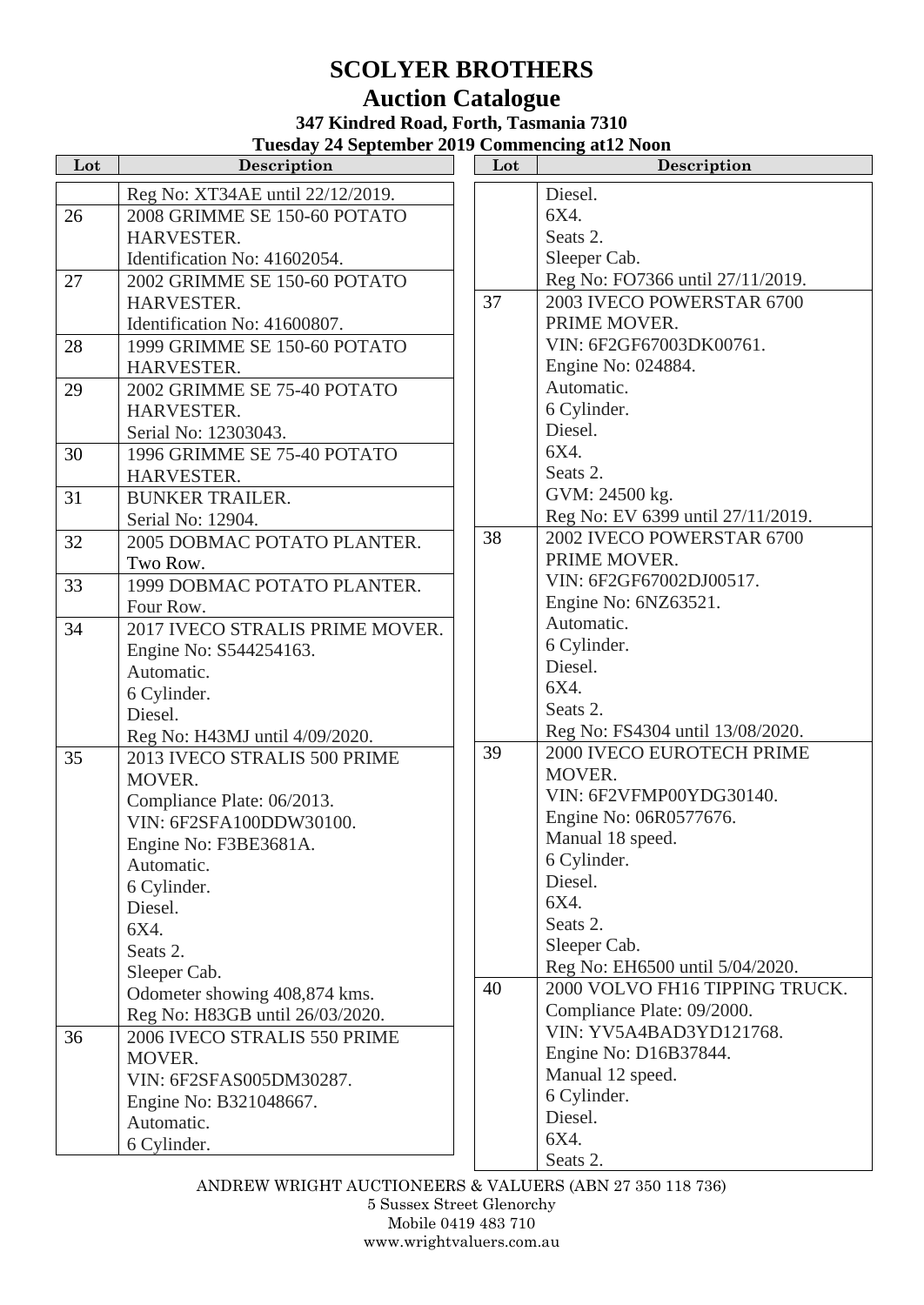# **SCOLYER BROTHERS Auction Catalogue**

#### **347 Kindred Road, Forth, Tasmania 7310 Tuesday 24 September 2019 Commencing at12 Noon**

| Lot | Tuesuay 24 September 2017 Commencing att2 iyoni<br>Description  | Lot | <b>Description</b>                |
|-----|-----------------------------------------------------------------|-----|-----------------------------------|
|     | Reg No: XT34AE until 22/12/2019.                                |     | Diesel.                           |
| 26  | 2008 GRIMME SE 150-60 POTATO                                    |     | 6X4.                              |
|     | HARVESTER.                                                      |     | Seats 2.                          |
|     | Identification No: 41602054.                                    |     | Sleeper Cab.                      |
| 27  | 2002 GRIMME SE 150-60 POTATO                                    |     | Reg No: FO7366 until 27/11/2019.  |
|     | HARVESTER.                                                      | 37  | 2003 IVECO POWERSTAR 6700         |
|     | Identification No: 41600807.                                    |     | PRIME MOVER.                      |
| 28  | 1999 GRIMME SE 150-60 POTATO                                    |     | VIN: 6F2GF67003DK00761.           |
|     | HARVESTER.                                                      |     | Engine No: 024884.                |
| 29  | 2002 GRIMME SE 75-40 POTATO                                     |     | Automatic.                        |
|     | HARVESTER.                                                      |     | 6 Cylinder.                       |
|     | Serial No: 12303043.                                            |     | Diesel.                           |
| 30  | 1996 GRIMME SE 75-40 POTATO                                     |     | 6X4.                              |
|     | HARVESTER.                                                      |     | Seats 2.                          |
| 31  | <b>BUNKER TRAILER.</b>                                          |     | GVM: 24500 kg.                    |
|     | Serial No: 12904.                                               |     | Reg No: EV 6399 until 27/11/2019. |
| 32  | 2005 DOBMAC POTATO PLANTER.                                     | 38  | 2002 IVECO POWERSTAR 6700         |
|     | Two Row.                                                        |     | PRIME MOVER.                      |
| 33  | 1999 DOBMAC POTATO PLANTER.                                     |     | VIN: 6F2GF67002DJ00517.           |
|     | Four Row.                                                       |     | Engine No: 6NZ63521.              |
| 34  | 2017 IVECO STRALIS PRIME MOVER.                                 |     | Automatic.                        |
|     | Engine No: S544254163.                                          |     | 6 Cylinder.                       |
|     | Automatic.                                                      |     | Diesel.                           |
|     | 6 Cylinder.                                                     |     | 6X4.                              |
|     | Diesel.                                                         |     | Seats 2.                          |
|     | Reg No: H43MJ until 4/09/2020.                                  |     | Reg No: FS4304 until 13/08/2020.  |
| 35  | 2013 IVECO STRALIS 500 PRIME                                    | 39  | 2000 IVECO EUROTECH PRIME         |
|     | MOVER.                                                          |     | MOVER.                            |
|     | Compliance Plate: 06/2013.                                      |     | VIN: 6F2VFMP00YDG30140.           |
|     | VIN: 6F2SFA100DDW30100.                                         |     | Engine No: 06R0577676.            |
|     | Engine No: F3BE3681A.                                           |     | Manual 18 speed.<br>6 Cylinder.   |
|     | Automatic.                                                      |     | Diesel.                           |
|     | 6 Cylinder.                                                     |     | 6X4.                              |
|     | Diesel.                                                         |     | Seats 2.                          |
|     | 6X4.                                                            |     | Sleeper Cab.                      |
|     | Seats 2.                                                        |     | Reg No: EH6500 until 5/04/2020.   |
|     | Sleeper Cab.                                                    | 40  | 2000 VOLVO FH16 TIPPING TRUCK.    |
|     | Odometer showing 408,874 kms.                                   |     | Compliance Plate: 09/2000.        |
| 36  | Reg No: H83GB until 26/03/2020.<br>2006 IVECO STRALIS 550 PRIME |     | VIN: YV5A4BAD3YD121768.           |
|     | MOVER.                                                          |     | Engine No: D16B37844.             |
|     | VIN: 6F2SFAS005DM30287.                                         |     | Manual 12 speed.                  |
|     | Engine No: B321048667.                                          |     | 6 Cylinder.                       |
|     | Automatic.                                                      |     | Diesel.                           |
|     | 6 Cylinder.                                                     |     | 6X4.                              |
|     |                                                                 |     | Seats 2.                          |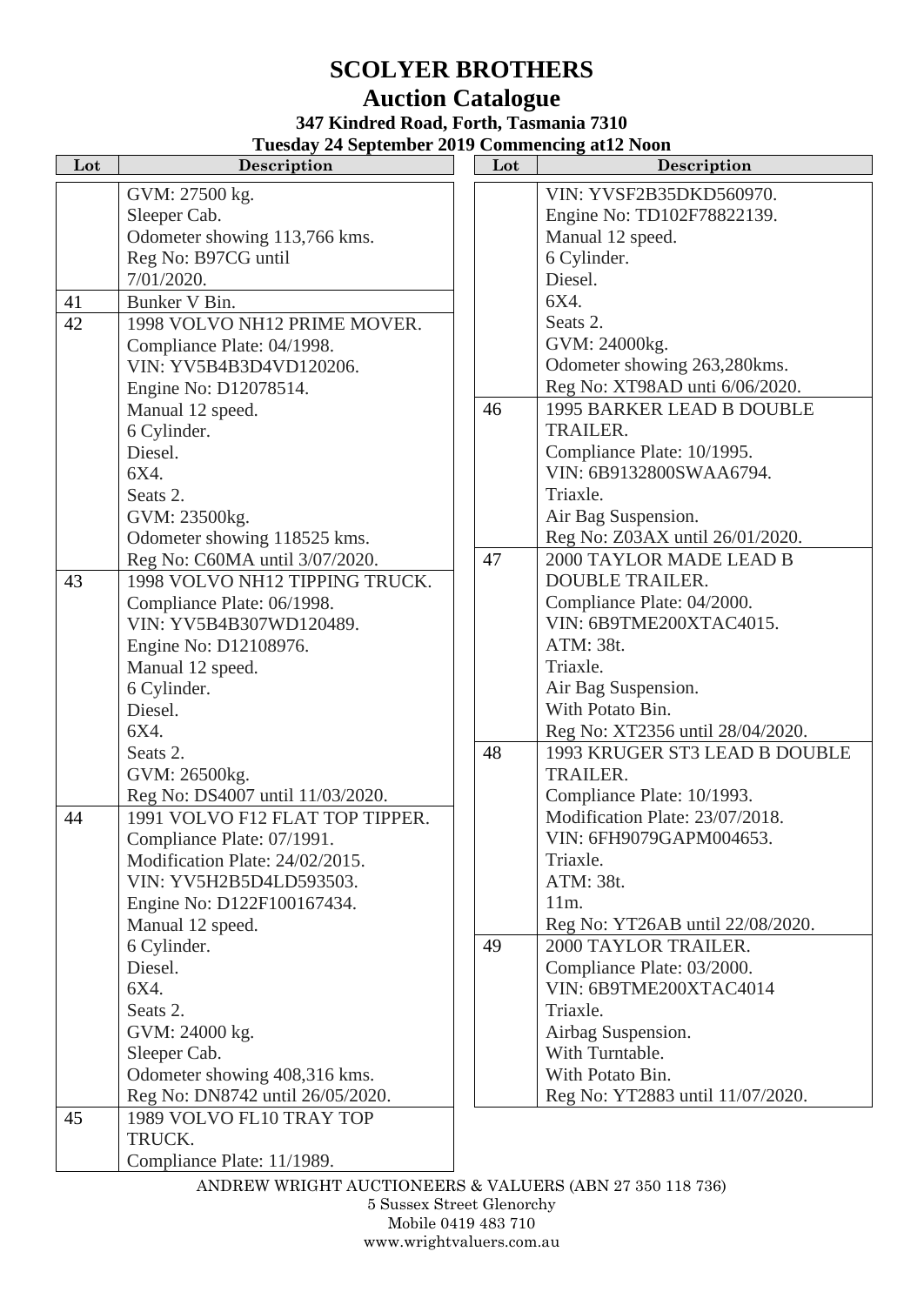# **SCOLYER BROTHERS**

#### **Auction Catalogue 347 Kindred Road, Forth, Tasmania 7310 Tuesday 24 September 2019 Commencing at12 Noon**

| Lot | r acsuay 24 september 2012 commencing att2 room<br>Description | Lot | Description                      |
|-----|----------------------------------------------------------------|-----|----------------------------------|
|     | GVM: 27500 kg.                                                 |     | VIN: YVSF2B35DKD560970.          |
|     | Sleeper Cab.                                                   |     | Engine No: TD102F78822139.       |
|     | Odometer showing 113,766 kms.                                  |     | Manual 12 speed.                 |
|     | Reg No: B97CG until                                            |     | 6 Cylinder.                      |
|     | 7/01/2020.                                                     |     | Diesel.                          |
| 41  | Bunker V Bin.                                                  |     | 6X4.                             |
| 42  | 1998 VOLVO NH12 PRIME MOVER.                                   |     | Seats 2.                         |
|     | Compliance Plate: 04/1998.                                     |     | GVM: 24000kg.                    |
|     | VIN: YV5B4B3D4VD120206.                                        |     | Odometer showing 263,280kms.     |
|     | Engine No: D12078514.                                          |     | Reg No: XT98AD unti 6/06/2020.   |
|     | Manual 12 speed.                                               | 46  | <b>1995 BARKER LEAD B DOUBLE</b> |
|     | 6 Cylinder.                                                    |     | <b>TRAILER.</b>                  |
|     | Diesel.                                                        |     | Compliance Plate: 10/1995.       |
|     | 6X4.                                                           |     | VIN: 6B9132800SWAA6794.          |
|     | Seats 2.                                                       |     | Triaxle.                         |
|     | GVM: 23500kg.                                                  |     | Air Bag Suspension.              |
|     | Odometer showing 118525 kms.                                   |     | Reg No: Z03AX until 26/01/2020.  |
|     | Reg No: C60MA until 3/07/2020.                                 | 47  | 2000 TAYLOR MADE LEAD B          |
| 43  | 1998 VOLVO NH12 TIPPING TRUCK.                                 |     | <b>DOUBLE TRAILER.</b>           |
|     | Compliance Plate: 06/1998.                                     |     | Compliance Plate: 04/2000.       |
|     | VIN: YV5B4B307WD120489.                                        |     | VIN: 6B9TME200XTAC4015.          |
|     | Engine No: D12108976.                                          |     | ATM: 38t.                        |
|     | Manual 12 speed.                                               |     | Triaxle.                         |
|     | 6 Cylinder.                                                    |     | Air Bag Suspension.              |
|     | Diesel.                                                        |     | With Potato Bin.                 |
|     | 6X4.                                                           |     | Reg No: XT2356 until 28/04/2020. |
|     | Seats 2.                                                       | 48  | 1993 KRUGER ST3 LEAD B DOUBLE    |
|     | GVM: 26500kg.                                                  |     | <b>TRAILER.</b>                  |
|     | Reg No: DS4007 until 11/03/2020.                               |     | Compliance Plate: 10/1993.       |
| 44  | 1991 VOLVO F12 FLAT TOP TIPPER.                                |     | Modification Plate: 23/07/2018.  |
|     | Compliance Plate: 07/1991.                                     |     | VIN: 6FH9079GAPM004653           |
|     | Modification Plate: 24/02/2015.                                |     | Triaxle.                         |
|     | VIN: YV5H2B5D4LD593503.                                        |     | ATM: 38t.                        |
|     | Engine No: D122F100167434.                                     |     | $11m$ .                          |
|     | Manual 12 speed.                                               |     | Reg No: YT26AB until 22/08/2020. |
|     | 6 Cylinder.                                                    | 49  | 2000 TAYLOR TRAILER.             |
|     | Diesel.                                                        |     | Compliance Plate: 03/2000.       |
|     | 6X4.                                                           |     | VIN: 6B9TME200XTAC4014           |
|     | Seats 2.                                                       |     | Triaxle.                         |
|     | GVM: 24000 kg.                                                 |     | Airbag Suspension.               |
|     | Sleeper Cab.                                                   |     | With Turntable.                  |
|     | Odometer showing 408,316 kms.                                  |     | With Potato Bin.                 |
|     | Reg No: DN8742 until 26/05/2020.                               |     | Reg No: YT2883 until 11/07/2020. |
| 45  | 1989 VOLVO FL10 TRAY TOP                                       |     |                                  |
|     | TRUCK.                                                         |     |                                  |
|     | Compliance Plate: 11/1989.                                     |     |                                  |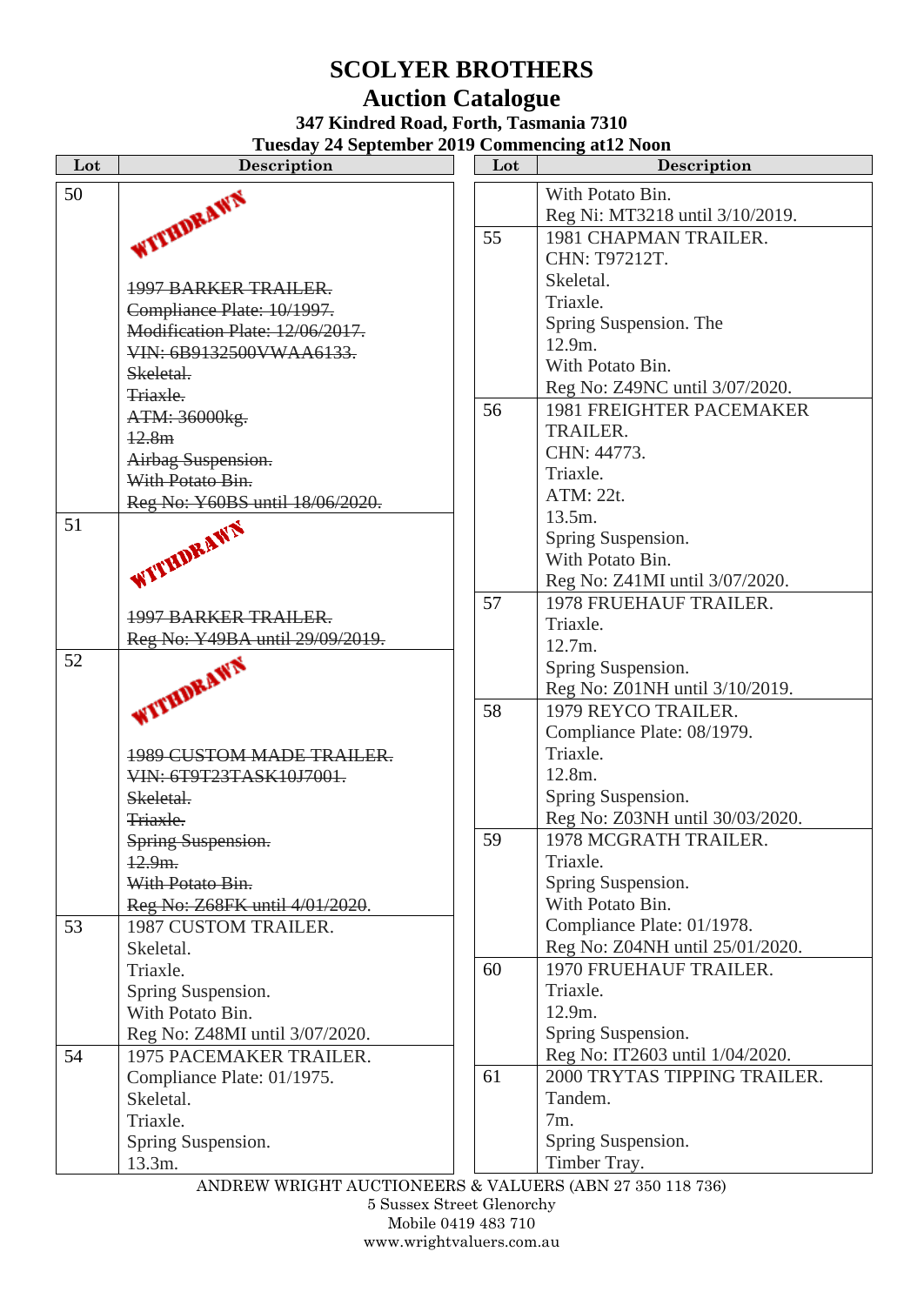# **SCOLYER BROTHERS**

# **Auction Catalogue**

**347 Kindred Road, Forth, Tasmania 7310**

**Tuesday 24 September 2019 Commencing at12 Noon**

| Lot | Description                                                  | Lot | Description                                           |
|-----|--------------------------------------------------------------|-----|-------------------------------------------------------|
| 50  |                                                              |     | With Potato Bin.                                      |
|     |                                                              |     | Reg Ni: MT3218 until 3/10/2019.                       |
|     | WITHDRAWN                                                    | 55  | 1981 CHAPMAN TRAILER.                                 |
|     |                                                              |     | CHN: T97212T.                                         |
|     |                                                              |     | Skeletal.                                             |
|     | 1997 BARKER TRAILER.                                         |     | Triaxle.                                              |
|     | Compliance Plate: 10/1997.<br>Modification Plate: 12/06/2017 |     | Spring Suspension. The                                |
|     |                                                              |     | 12.9m.                                                |
|     | VIN: 6B9132500VWAA6133.                                      |     | With Potato Bin.                                      |
|     | Skeletal.                                                    |     | Reg No: Z49NC until 3/07/2020.                        |
|     | Triaxle.                                                     | 56  | <b>1981 FREIGHTER PACEMAKER</b>                       |
|     | ATM: 36000kg.                                                |     | <b>TRAILER.</b>                                       |
|     | 12.8m                                                        |     | CHN: 44773.                                           |
|     | Airbag Suspension.                                           |     | Triaxle.                                              |
|     | With Potato Bin.                                             |     | ATM: 22t.                                             |
|     | Reg No: Y60BS until 18/06/2020.                              |     | 13.5m.                                                |
| 51  | WITHDRAWN                                                    |     | Spring Suspension.                                    |
|     |                                                              |     | With Potato Bin.                                      |
|     |                                                              |     | Reg No: Z41MI until 3/07/2020.                        |
|     |                                                              | 57  | <b>1978 FRUEHAUF TRAILER.</b>                         |
|     | <b>1997 BARKER TRAILER.</b>                                  |     | Triaxle.                                              |
|     | Reg No: Y49BA until 29/09/2019.                              |     | 12.7m.                                                |
| 52  |                                                              |     |                                                       |
|     |                                                              |     | Spring Suspension.                                    |
|     | WITHDRAWN                                                    |     | Reg No: Z01NH until 3/10/2019.<br>1979 REYCO TRAILER. |
|     |                                                              | 58  |                                                       |
|     |                                                              |     | Compliance Plate: 08/1979.                            |
|     | <b>1989 CUSTOM MADE TRAILER.</b>                             |     | Triaxle.                                              |
|     | VIN: 6T9T23TASK10J7001.                                      |     | 12.8m.                                                |
|     | Skeletal.                                                    |     | Spring Suspension.                                    |
|     | Triaxle.                                                     |     | Reg No: Z03NH until 30/03/2020.                       |
|     | Spring Suspension.                                           | 59  | 1978 MCGRATH TRAILER.                                 |
|     | $12.9m$ .                                                    |     | Triaxle.                                              |
|     | With Potato Bin.                                             |     | Spring Suspension.                                    |
|     | Reg No: Z68FK until 4/01/2020.                               |     | With Potato Bin.                                      |
| 53  | 1987 CUSTOM TRAILER.                                         |     | Compliance Plate: 01/1978.                            |
|     | Skeletal.                                                    |     | Reg No: Z04NH until 25/01/2020.                       |
|     | Triaxle.                                                     | 60  | 1970 FRUEHAUF TRAILER.                                |
|     | Spring Suspension.                                           |     | Triaxle.                                              |
|     | With Potato Bin.                                             |     | 12.9m.                                                |
|     | Reg No: Z48MI until 3/07/2020.                               |     | Spring Suspension.                                    |
| 54  | 1975 PACEMAKER TRAILER.                                      |     | Reg No: IT2603 until 1/04/2020.                       |
|     | Compliance Plate: 01/1975.                                   | 61  | 2000 TRYTAS TIPPING TRAILER.                          |
|     | Skeletal.                                                    |     | Tandem.                                               |
|     | Triaxle.                                                     |     | 7m.                                                   |
|     | Spring Suspension.                                           |     | Spring Suspension.                                    |
|     | 13.3m.                                                       |     | Timber Tray.                                          |
|     |                                                              |     |                                                       |

ANDREW WRIGHT AUCTIONEERS & VALUERS (ABN 27 350 118 736)

5 Sussex Street Glenorchy Mobile 0419 483 710

www.wrightvaluers.com.au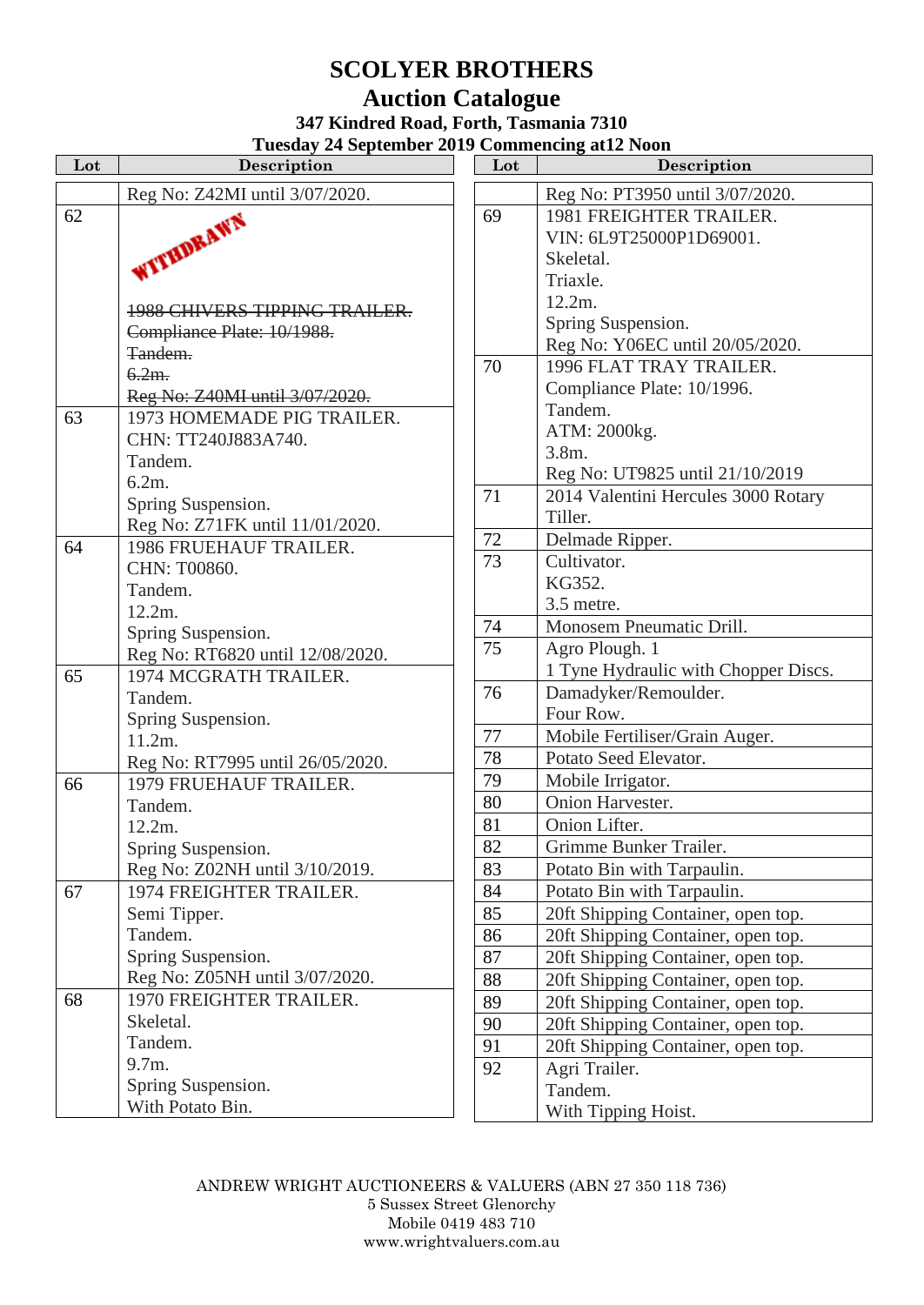## **SCOLYER BROTHERS Auction Catalogue**

### **347 Kindred Road, Forth, Tasmania 7310 Tuesday 24 September 2019 Commencing at12 Noon**

| Lot | Description                          | Lot | Description                 |
|-----|--------------------------------------|-----|-----------------------------|
|     | Reg No: Z42MI until 3/07/2020.       |     | Reg No: PT3950 until 3/07/  |
| 62  | WITHDRAWN                            | 69  | <b>1981 FREIGHTER TRAIL</b> |
|     |                                      |     | VIN: 6L9T25000P1D69001      |
|     |                                      |     | Skeletal.                   |
|     |                                      |     | Triaxle.                    |
|     | <b>1988 CHIVERS TIPPING TRAILER.</b> |     | 12.2m.                      |
|     | Compliance Plate: 10/1988.           |     | Spring Suspension.          |
|     | Tandem.                              |     | Reg No: Y06EC until 20/05   |
|     | $6.2m$ .                             | 70  | 1996 FLAT TRAY TRAIL        |
|     | Reg No: Z40MI until 3/07/2020.       |     | Compliance Plate: 10/1996.  |
| 63  | 1973 HOMEMADE PIG TRAILER.           |     | Tandem.                     |
|     | CHN: TT240J883A740.                  |     | ATM: 2000kg.                |
|     | Tandem.                              |     | 3.8m.                       |
|     | $6.2m$ .                             |     | Reg No: UT9825 until 21/1   |
|     | Spring Suspension.                   | 71  | 2014 Valentini Hercules 30  |
|     | Reg No: Z71FK until 11/01/2020.      |     | Tiller.                     |
| 64  | 1986 FRUEHAUF TRAILER.               | 72  | Delmade Ripper.             |
|     | CHN: T00860.                         | 73  | Cultivator.                 |
|     | Tandem.                              |     | KG352.                      |
|     | 12.2m.                               |     | 3.5 metre.                  |
|     | Spring Suspension.                   | 74  | Monosem Pneumatic Drill.    |
|     | Reg No: RT6820 until 12/08/2020.     | 75  | Agro Plough. 1              |
| 65  | 1974 MCGRATH TRAILER.                |     | 1 Tyne Hydraulic with Cho   |
|     | Tandem.                              | 76  | Damadyker/Remoulder.        |
|     | Spring Suspension.                   |     | Four Row.                   |
|     | 11.2m.                               | 77  | Mobile Fertiliser/Grain Aug |
|     | Reg No: RT7995 until 26/05/2020.     | 78  | Potato Seed Elevator.       |
| 66  | 1979 FRUEHAUF TRAILER.               | 79  | Mobile Irrigator.           |
|     | Tandem.                              | 80  | Onion Harvester.            |
|     | 12.2m.                               | 81  | Onion Lifter.               |
|     | Spring Suspension.                   | 82  | Grimme Bunker Trailer.      |
|     | Reg No: Z02NH until 3/10/2019.       | 83  | Potato Bin with Tarpaulin.  |
| 67  | 1974 FREIGHTER TRAILER.              | 84  | Potato Bin with Tarpaulin.  |
|     | Semi Tipper.                         | 85  | 20ft Shipping Container, op |
|     | Tandem.                              | 86  | 20ft Shipping Container, op |
|     | Spring Suspension.                   | 87  | 20ft Shipping Container, op |
|     | Reg No: Z05NH until 3/07/2020.       | 88  | 20ft Shipping Container, op |
| 68  | 1970 FREIGHTER TRAILER.              | 89  | 20ft Shipping Container, op |
|     | Skeletal.                            | 90  | 20ft Shipping Container, op |
|     | Tandem.                              | 91  | 20ft Shipping Container, op |
|     | 9.7m.                                | 92  | Agri Trailer.               |
|     | Spring Suspension.                   |     | Tandem.                     |
|     | With Potato Bin.                     |     | With Tipping Hoist.         |

| Lot | Description                          |
|-----|--------------------------------------|
|     | Reg No: PT3950 until 3/07/2020.      |
| 69  | <b>1981 FREIGHTER TRAILER.</b>       |
|     | VIN: 6L9T25000P1D69001.              |
|     | Skeletal.                            |
|     | Triaxle.                             |
|     | 12.2m.                               |
|     | Spring Suspension.                   |
|     | Reg No: Y06EC until 20/05/2020.      |
| 70  | 1996 FLAT TRAY TRAILER.              |
|     | Compliance Plate: 10/1996.           |
|     | Tandem.                              |
|     | ATM: 2000kg.                         |
|     | $3.8m$ .                             |
|     | Reg No: UT9825 until 21/10/2019      |
| 71  | 2014 Valentini Hercules 3000 Rotary  |
|     | Tiller.                              |
| 72  | Delmade Ripper.                      |
| 73  | Cultivator.                          |
|     | KG352.                               |
|     | 3.5 metre.                           |
| 74  | Monosem Pneumatic Drill.             |
| 75  | Agro Plough. 1                       |
|     | 1 Tyne Hydraulic with Chopper Discs. |
| 76  | Damadyker/Remoulder.                 |
|     | Four Row.                            |
| 77  | Mobile Fertiliser/Grain Auger.       |
| 78  | Potato Seed Elevator.                |
| 79  | Mobile Irrigator.                    |
| 80  | Onion Harvester.                     |
| 81  | Onion Lifter.                        |
| 82  | Grimme Bunker Trailer.               |
| 83  | Potato Bin with Tarpaulin.           |
| 84  | Potato Bin with Tarpaulin.           |
| 85  | 20ft Shipping Container, open top.   |
| 86  | 20ft Shipping Container, open top.   |
| 87  | 20ft Shipping Container, open top.   |
| 88  | 20ft Shipping Container, open top.   |
| 89  | 20ft Shipping Container, open top.   |
| 90  | 20ft Shipping Container, open top.   |
| 91  | 20ft Shipping Container, open top.   |
| 92  | Agri Trailer.                        |
|     | Tandem.                              |
|     | With Tipping Hoist.                  |